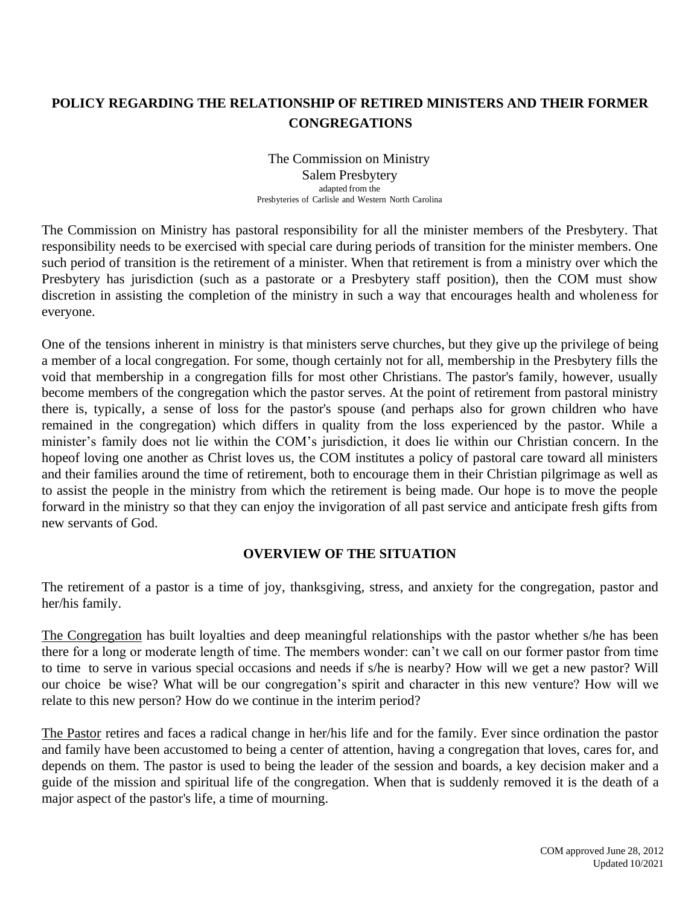## **POLICY REGARDING THE RELATIONSHIP OF RETIRED MINISTERS AND THEIR FORMER CONGREGATIONS**

#### The Commission on Ministry Salem Presbytery adapted from the Presbyteries of Carlisle and Western North Carolina

The Commission on Ministry has pastoral responsibility for all the minister members of the Presbytery. That responsibility needs to be exercised with special care during periods of transition for the minister members. One such period of transition is the retirement of a minister. When that retirement is from a ministry over which the Presbytery has jurisdiction (such as a pastorate or a Presbytery staff position), then the COM must show discretion in assisting the completion of the ministry in such a way that encourages health and wholeness for everyone.

One of the tensions inherent in ministry is that ministers serve churches, but they give up the privilege of being a member of a local congregation. For some, though certainly not for all, membership in the Presbytery fills the void that membership in a congregation fills for most other Christians. The pastor's family, however, usually become members of the congregation which the pastor serves. At the point of retirement from pastoral ministry there is, typically, a sense of loss for the pastor's spouse (and perhaps also for grown children who have remained in the congregation) which differs in quality from the loss experienced by the pastor. While a minister's family does not lie within the COM's jurisdiction, it does lie within our Christian concern. In the hopeof loving one another as Christ loves us, the COM institutes a policy of pastoral care toward all ministers and their families around the time of retirement, both to encourage them in their Christian pilgrimage as well as to assist the people in the ministry from which the retirement is being made. Our hope is to move the people forward in the ministry so that they can enjoy the invigoration of all past service and anticipate fresh gifts from new servants of God.

#### **OVERVIEW OF THE SITUATION**

The retirement of a pastor is a time of joy, thanksgiving, stress, and anxiety for the congregation, pastor and her/his family.

The Congregation has built loyalties and deep meaningful relationships with the pastor whether s/he has been there for a long or moderate length of time. The members wonder: can't we call on our former pastor from time to time to serve in various special occasions and needs if s/he is nearby? How will we get a new pastor? Will our choice be wise? What will be our congregation's spirit and character in this new venture? How will we relate to this new person? How do we continue in the interim period?

The Pastor retires and faces a radical change in her/his life and for the family. Ever since ordination the pastor and family have been accustomed to being a center of attention, having a congregation that loves, cares for, and depends on them. The pastor is used to being the leader of the session and boards, a key decision maker and a guide of the mission and spiritual life of the congregation. When that is suddenly removed it is the death of a major aspect of the pastor's life, a time of mourning.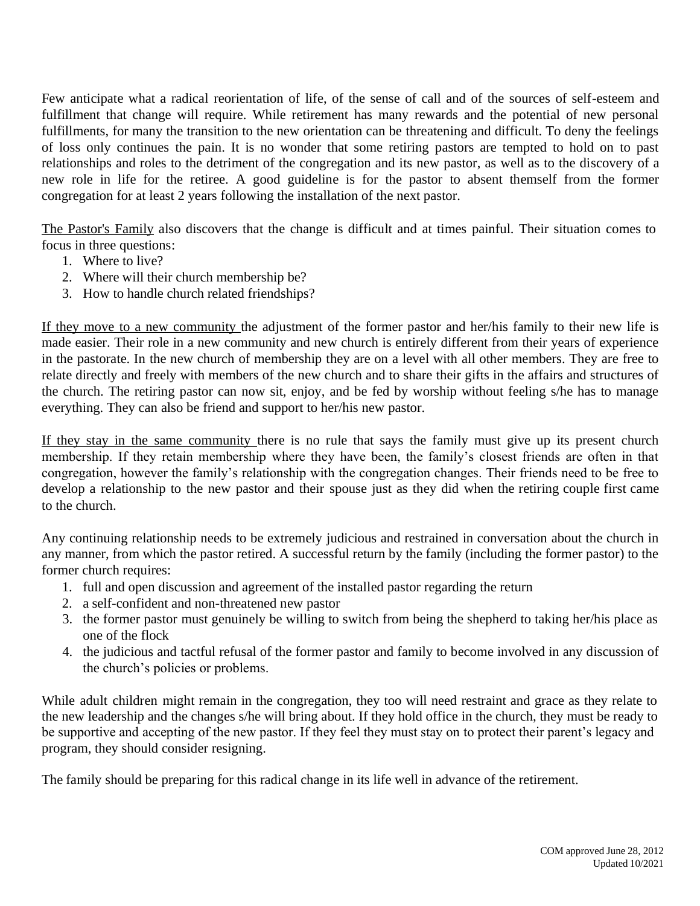Few anticipate what a radical reorientation of life, of the sense of call and of the sources of self-esteem and fulfillment that change will require. While retirement has many rewards and the potential of new personal fulfillments, for many the transition to the new orientation can be threatening and difficult. To deny the feelings of loss only continues the pain. It is no wonder that some retiring pastors are tempted to hold on to past relationships and roles to the detriment of the congregation and its new pastor, as well as to the discovery of a new role in life for the retiree. A good guideline is for the pastor to absent themself from the former congregation for at least 2 years following the installation of the next pastor.

The Pastor's Family also discovers that the change is difficult and at times painful. Their situation comes to focus in three questions:

- 1. Where to live?
- 2. Where will their church membership be?
- 3. How to handle church related friendships?

If they move to a new community the adjustment of the former pastor and her/his family to their new life is made easier. Their role in a new community and new church is entirely different from their years of experience in the pastorate. In the new church of membership they are on a level with all other members. They are free to relate directly and freely with members of the new church and to share their gifts in the affairs and structures of the church. The retiring pastor can now sit, enjoy, and be fed by worship without feeling s/he has to manage everything. They can also be friend and support to her/his new pastor.

If they stay in the same community there is no rule that says the family must give up its present church membership. If they retain membership where they have been, the family's closest friends are often in that congregation, however the family's relationship with the congregation changes. Their friends need to be free to develop a relationship to the new pastor and their spouse just as they did when the retiring couple first came to the church.

Any continuing relationship needs to be extremely judicious and restrained in conversation about the church in any manner, from which the pastor retired. A successful return by the family (including the former pastor) to the former church requires:

- 1. full and open discussion and agreement of the installed pastor regarding the return
- 2. a self-confident and non-threatened new pastor
- 3. the former pastor must genuinely be willing to switch from being the shepherd to taking her/his place as one of the flock
- 4. the judicious and tactful refusal of the former pastor and family to become involved in any discussion of the church's policies or problems.

While adult children might remain in the congregation, they too will need restraint and grace as they relate to the new leadership and the changes s/he will bring about. If they hold office in the church, they must be ready to be supportive and accepting of the new pastor. If they feel they must stay on to protect their parent's legacy and program, they should consider resigning.

The family should be preparing for this radical change in its life well in advance of the retirement.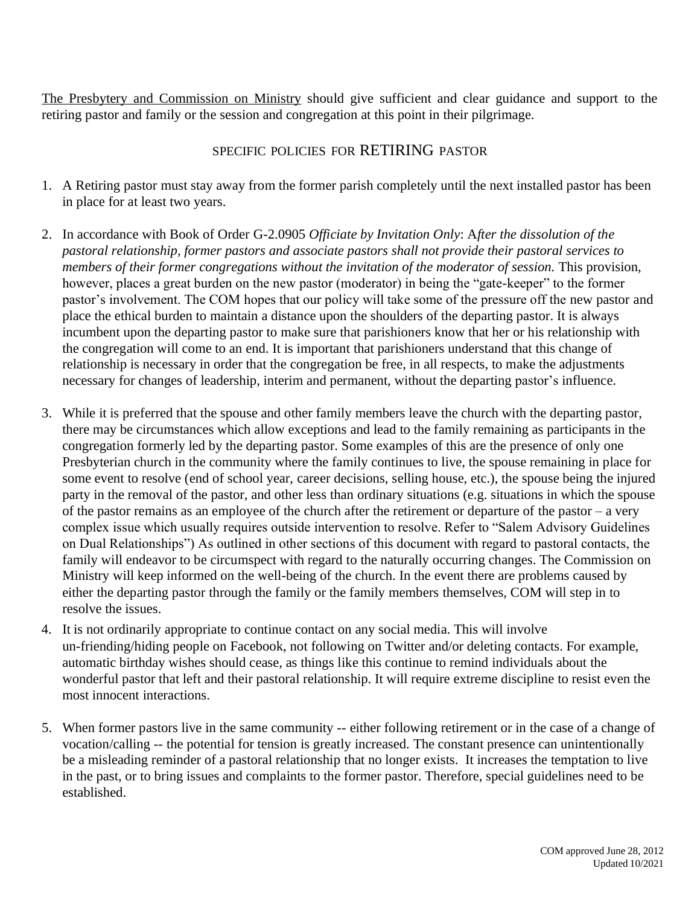The Presbytery and Commission on Ministry should give sufficient and clear guidance and support to the retiring pastor and family or the session and congregation at this point in their pilgrimage.

### SPECIFIC POLICIES FOR RETIRING PASTOR

- 1. A Retiring pastor must stay away from the former parish completely until the next installed pastor has been in place for at least two years.
- 2. In accordance with Book of Order G-2.0905 *Officiate by Invitation Only*: A*fter the dissolution of the pastoral relationship, former pastors and associate pastors shall not provide their pastoral services to members of their former congregations without the invitation of the moderator of session.* This provision, however, places a great burden on the new pastor (moderator) in being the "gate-keeper" to the former pastor's involvement. The COM hopes that our policy will take some of the pressure off the new pastor and place the ethical burden to maintain a distance upon the shoulders of the departing pastor. It is always incumbent upon the departing pastor to make sure that parishioners know that her or his relationship with the congregation will come to an end. It is important that parishioners understand that this change of relationship is necessary in order that the congregation be free, in all respects, to make the adjustments necessary for changes of leadership, interim and permanent, without the departing pastor's influence.
- 3. While it is preferred that the spouse and other family members leave the church with the departing pastor, there may be circumstances which allow exceptions and lead to the family remaining as participants in the congregation formerly led by the departing pastor. Some examples of this are the presence of only one Presbyterian church in the community where the family continues to live, the spouse remaining in place for some event to resolve (end of school year, career decisions, selling house, etc.), the spouse being the injured party in the removal of the pastor, and other less than ordinary situations (e.g. situations in which the spouse of the pastor remains as an employee of the church after the retirement or departure of the pastor – a very complex issue which usually requires outside intervention to resolve. Refer to "Salem Advisory Guidelines on Dual Relationships") As outlined in other sections of this document with regard to pastoral contacts, the family will endeavor to be circumspect with regard to the naturally occurring changes. The Commission on Ministry will keep informed on the well-being of the church. In the event there are problems caused by either the departing pastor through the family or the family members themselves, COM will step in to resolve the issues.
- 4. It is not ordinarily appropriate to continue contact on any social media. This will involve un-friending/hiding people on Facebook, not following on Twitter and/or deleting contacts. For example, automatic birthday wishes should cease, as things like this continue to remind individuals about the wonderful pastor that left and their pastoral relationship. It will require extreme discipline to resist even the most innocent interactions.
- 5. When former pastors live in the same community -- either following retirement or in the case of a change of vocation/calling -- the potential for tension is greatly increased. The constant presence can unintentionally be a misleading reminder of a pastoral relationship that no longer exists. It increases the temptation to live in the past, or to bring issues and complaints to the former pastor. Therefore, special guidelines need to be established.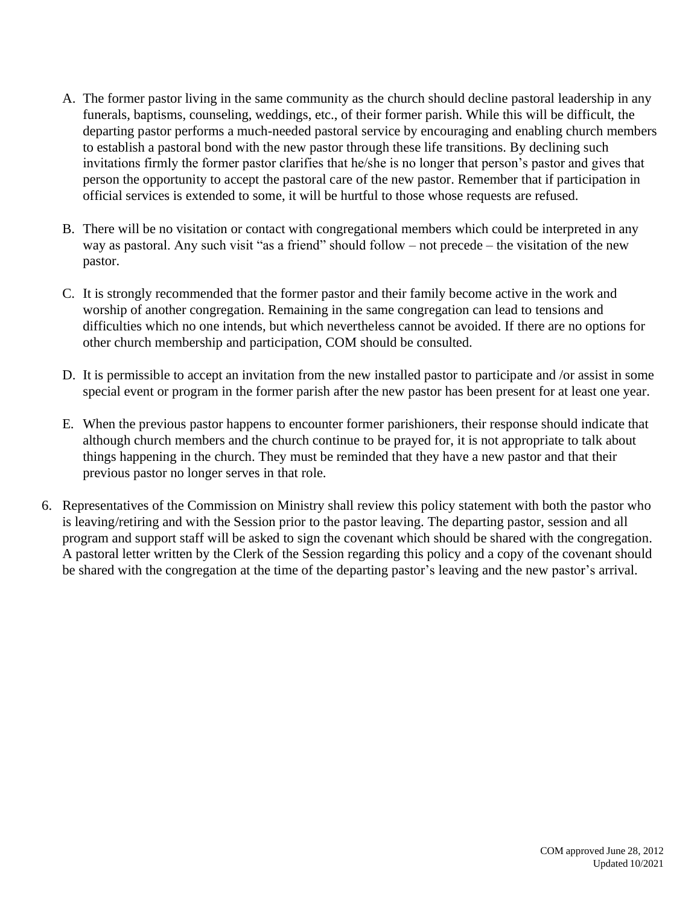- A. The former pastor living in the same community as the church should decline pastoral leadership in any funerals, baptisms, counseling, weddings, etc., of their former parish. While this will be difficult, the departing pastor performs a much-needed pastoral service by encouraging and enabling church members to establish a pastoral bond with the new pastor through these life transitions. By declining such invitations firmly the former pastor clarifies that he/she is no longer that person's pastor and gives that person the opportunity to accept the pastoral care of the new pastor. Remember that if participation in official services is extended to some, it will be hurtful to those whose requests are refused.
- B. There will be no visitation or contact with congregational members which could be interpreted in any way as pastoral. Any such visit "as a friend" should follow – not precede – the visitation of the new pastor.
- C. It is strongly recommended that the former pastor and their family become active in the work and worship of another congregation. Remaining in the same congregation can lead to tensions and difficulties which no one intends, but which nevertheless cannot be avoided. If there are no options for other church membership and participation, COM should be consulted.
- D. It is permissible to accept an invitation from the new installed pastor to participate and /or assist in some special event or program in the former parish after the new pastor has been present for at least one year.
- E. When the previous pastor happens to encounter former parishioners, their response should indicate that although church members and the church continue to be prayed for, it is not appropriate to talk about things happening in the church. They must be reminded that they have a new pastor and that their previous pastor no longer serves in that role.
- 6. Representatives of the Commission on Ministry shall review this policy statement with both the pastor who is leaving/retiring and with the Session prior to the pastor leaving. The departing pastor, session and all program and support staff will be asked to sign the covenant which should be shared with the congregation. A pastoral letter written by the Clerk of the Session regarding this policy and a copy of the covenant should be shared with the congregation at the time of the departing pastor's leaving and the new pastor's arrival.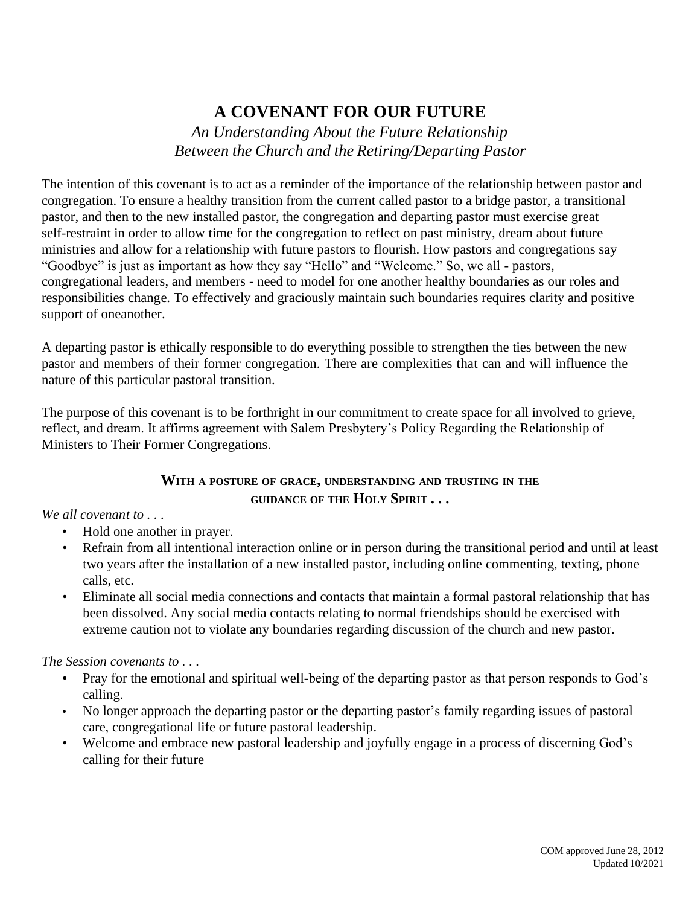# **A COVENANT FOR OUR FUTURE**

*An Understanding About the Future Relationship Between the Church and the Retiring/Departing Pastor*

The intention of this covenant is to act as a reminder of the importance of the relationship between pastor and congregation. To ensure a healthy transition from the current called pastor to a bridge pastor, a transitional pastor, and then to the new installed pastor, the congregation and departing pastor must exercise great self-restraint in order to allow time for the congregation to reflect on past ministry, dream about future ministries and allow for a relationship with future pastors to flourish. How pastors and congregations say "Goodbye" is just as important as how they say "Hello" and "Welcome." So, we all - pastors, congregational leaders, and members - need to model for one another healthy boundaries as our roles and responsibilities change. To effectively and graciously maintain such boundaries requires clarity and positive support of oneanother.

A departing pastor is ethically responsible to do everything possible to strengthen the ties between the new pastor and members of their former congregation. There are complexities that can and will influence the nature of this particular pastoral transition.

The purpose of this covenant is to be forthright in our commitment to create space for all involved to grieve, reflect, and dream. It affirms agreement with Salem Presbytery's Policy Regarding the Relationship of Ministers to Their Former Congregations.

#### **WITH <sup>A</sup> POSTURE OF GRACE, UNDERSTANDING AND TRUSTING IN THE GUIDANCE OF THE HOLY SPIRIT . . .**

#### *We all covenant to . . .*

- Hold one another in prayer.
- Refrain from all intentional interaction online or in person during the transitional period and until at least two years after the installation of a new installed pastor, including online commenting, texting, phone calls, etc.
- Eliminate all social media connections and contacts that maintain a formal pastoral relationship that has been dissolved. Any social media contacts relating to normal friendships should be exercised with extreme caution not to violate any boundaries regarding discussion of the church and new pastor.

#### *The Session covenants to . . .*

- Pray for the emotional and spiritual well-being of the departing pastor as that person responds to God's calling.
- No longer approach the departing pastor or the departing pastor's family regarding issues of pastoral care, congregational life or future pastoral leadership.
- Welcome and embrace new pastoral leadership and joyfully engage in a process of discerning God's calling for their future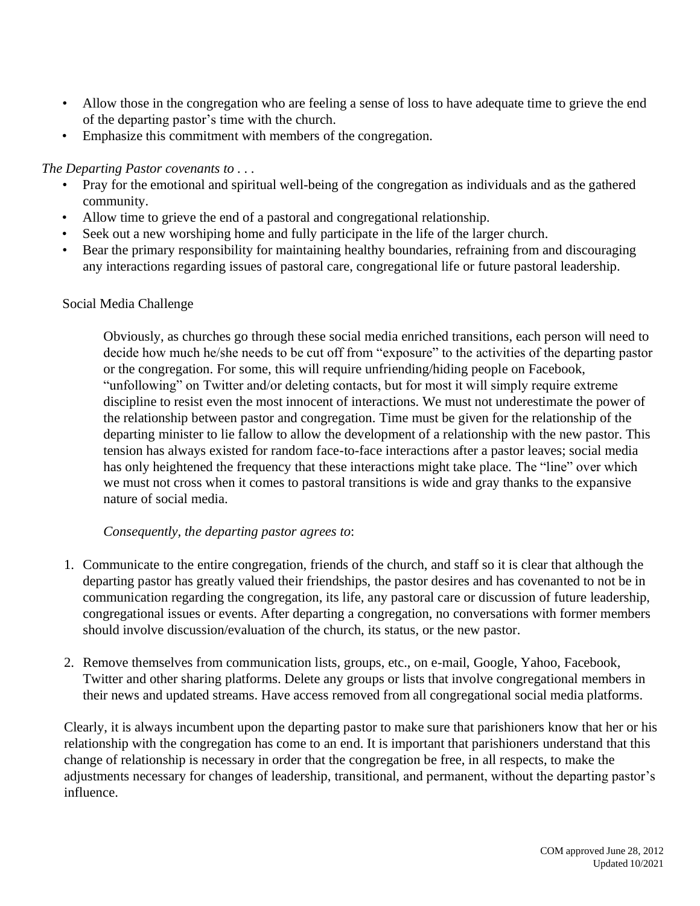- Allow those in the congregation who are feeling a sense of loss to have adequate time to grieve the end of the departing pastor's time with the church.
- Emphasize this commitment with members of the congregation.

*The Departing Pastor covenants to . . .*

- Pray for the emotional and spiritual well-being of the congregation as individuals and as the gathered community.
- Allow time to grieve the end of a pastoral and congregational relationship.
- Seek out a new worshiping home and fully participate in the life of the larger church.
- Bear the primary responsibility for maintaining healthy boundaries, refraining from and discouraging any interactions regarding issues of pastoral care, congregational life or future pastoral leadership.

#### Social Media Challenge

Obviously, as churches go through these social media enriched transitions, each person will need to decide how much he/she needs to be cut off from "exposure" to the activities of the departing pastor or the congregation. For some, this will require unfriending/hiding people on Facebook, "unfollowing" on Twitter and/or deleting contacts, but for most it will simply require extreme discipline to resist even the most innocent of interactions. We must not underestimate the power of the relationship between pastor and congregation. Time must be given for the relationship of the departing minister to lie fallow to allow the development of a relationship with the new pastor. This tension has always existed for random face-to-face interactions after a pastor leaves; social media has only heightened the frequency that these interactions might take place. The "line" over which we must not cross when it comes to pastoral transitions is wide and gray thanks to the expansive nature of social media.

#### *Consequently, the departing pastor agrees to*:

- 1. Communicate to the entire congregation, friends of the church, and staff so it is clear that although the departing pastor has greatly valued their friendships, the pastor desires and has covenanted to not be in communication regarding the congregation, its life, any pastoral care or discussion of future leadership, congregational issues or events. After departing a congregation, no conversations with former members should involve discussion/evaluation of the church, its status, or the new pastor.
- 2. Remove themselves from communication lists, groups, etc., on e-mail, Google, Yahoo, Facebook, Twitter and other sharing platforms. Delete any groups or lists that involve congregational members in their news and updated streams. Have access removed from all congregational social media platforms.

Clearly, it is always incumbent upon the departing pastor to make sure that parishioners know that her or his relationship with the congregation has come to an end. It is important that parishioners understand that this change of relationship is necessary in order that the congregation be free, in all respects, to make the adjustments necessary for changes of leadership, transitional, and permanent, without the departing pastor's influence.